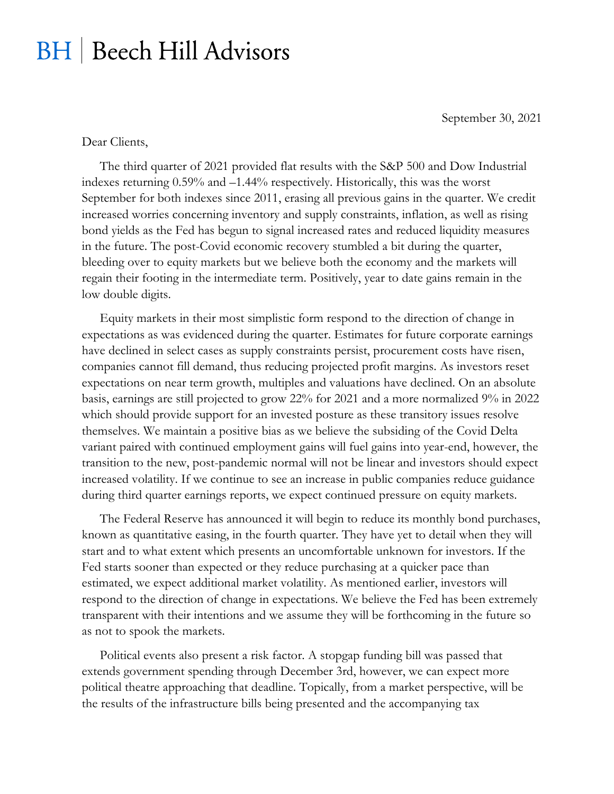## **BH** | Beech Hill Advisors

September 30, 2021

Dear Clients,

The third quarter of 2021 provided flat results with the S&P 500 and Dow Industrial indexes returning 0.59% and –1.44% respectively. Historically, this was the worst September for both indexes since 2011, erasing all previous gains in the quarter. We credit increased worries concerning inventory and supply constraints, inflation, as well as rising bond yields as the Fed has begun to signal increased rates and reduced liquidity measures in the future. The post-Covid economic recovery stumbled a bit during the quarter, bleeding over to equity markets but we believe both the economy and the markets will regain their footing in the intermediate term. Positively, year to date gains remain in the low double digits.

Equity markets in their most simplistic form respond to the direction of change in expectations as was evidenced during the quarter. Estimates for future corporate earnings have declined in select cases as supply constraints persist, procurement costs have risen, companies cannot fill demand, thus reducing projected profit margins. As investors reset expectations on near term growth, multiples and valuations have declined. On an absolute basis, earnings are still projected to grow 22% for 2021 and a more normalized 9% in 2022 which should provide support for an invested posture as these transitory issues resolve themselves. We maintain a positive bias as we believe the subsiding of the Covid Delta variant paired with continued employment gains will fuel gains into year-end, however, the transition to the new, post-pandemic normal will not be linear and investors should expect increased volatility. If we continue to see an increase in public companies reduce guidance during third quarter earnings reports, we expect continued pressure on equity markets.

The Federal Reserve has announced it will begin to reduce its monthly bond purchases, known as quantitative easing, in the fourth quarter. They have yet to detail when they will start and to what extent which presents an uncomfortable unknown for investors. If the Fed starts sooner than expected or they reduce purchasing at a quicker pace than estimated, we expect additional market volatility. As mentioned earlier, investors will respond to the direction of change in expectations. We believe the Fed has been extremely transparent with their intentions and we assume they will be forthcoming in the future so as not to spook the markets.

Political events also present a risk factor. A stopgap funding bill was passed that extends government spending through December 3rd, however, we can expect more political theatre approaching that deadline. Topically, from a market perspective, will be the results of the infrastructure bills being presented and the accompanying tax